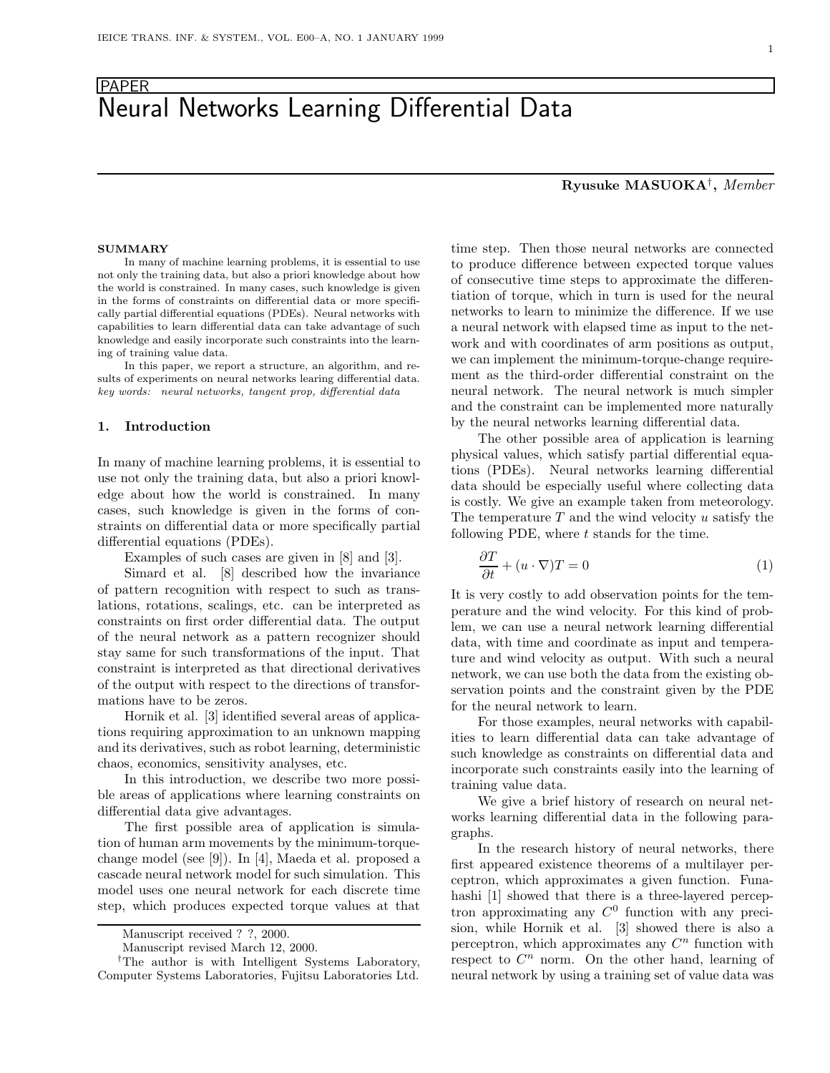## PAPER Neural Networks Learning Differential Data

In many of machine learning problems, it is essential to use not only the training data, but also a priori knowledge about how the world is constrained. In many cases, such knowledge is given in the forms of constraints on differential data or more specifically partial differential equations (PDEs). Neural networks with capabilities to learn differential data can take advantage of such knowledge and easily incorporate such constraints into the learning of training value data.

In this paper, we report a structure, an algorithm, and results of experiments on neural networks learing differential data. key words: neural networks, tangent prop, differential data

#### **1. Introduction**

In many of machine learning problems, it is essential to use not only the training data, but also a priori knowledge about how the world is constrained. In many cases, such knowledge is given in the forms of constraints on differential data or more specifically partial differential equations (PDEs).

Examples of such cases are given in [8] and [3].

Simard et al. [8] described how the invariance of pattern recognition with respect to such as translations, rotations, scalings, etc. can be interpreted as constraints on first order differential data. The output of the neural network as a pattern recognizer should stay same for such transformations of the input. That constraint is interpreted as that directional derivatives of the output with respect to the directions of transformations have to be zeros.

Hornik et al. [3] identified several areas of applications requiring approximation to an unknown mapping and its derivatives, such as robot learning, deterministic chaos, economics, sensitivity analyses, etc.

In this introduction, we describe two more possible areas of applications where learning constraints on differential data give advantages.

The first possible area of application is simulation of human arm movements by the minimum-torquechange model (see [9]). In [4], Maeda et al. proposed a cascade neural network model for such simulation. This model uses one neural network for each discrete time step, which produces expected torque values at that time step. Then those neural networks are connected to produce difference between expected torque values of consecutive time steps to approximate the differentiation of torque, which in turn is used for the neural networks to learn to minimize the difference. If we use a neural network with elapsed time as input to the network and with coordinates of arm positions as output, we can implement the minimum-torque-change requirement as the third-order differential constraint on the neural network. The neural network is much simpler and the constraint can be implemented more naturally by the neural networks learning differential data.

The other possible area of application is learning physical values, which satisfy partial differential equations (PDEs). Neural networks learning differential data should be especially useful where collecting data is costly. We give an example taken from meteorology. The temperature  $T$  and the wind velocity  $u$  satisfy the following PDE, where  $t$  stands for the time.

$$
\frac{\partial T}{\partial t} + (u \cdot \nabla)T = 0\tag{1}
$$

It is very costly to add observation points for the temperature and the wind velocity. For this kind of problem, we can use a neural network learning differential data, with time and coordinate as input and temperature and wind velocity as output. With such a neural network, we can use both the data from the existing observation points and the constraint given by the PDE for the neural network to learn.

For those examples, neural networks with capabilities to learn differential data can take advantage of such knowledge as constraints on differential data and incorporate such constraints easily into the learning of training value data.

We give a brief history of research on neural networks learning differential data in the following paragraphs.

In the research history of neural networks, there first appeared existence theorems of a multilayer perceptron, which approximates a given function. Funahashi [1] showed that there is a three-layered perceptron approximating any  $C^0$  function with any precision, while Hornik et al. [3] showed there is also a perceptron, which approximates any  $C<sup>n</sup>$  function with respect to  $C<sup>n</sup>$  norm. On the other hand, learning of neural network by using a training set of value data was

# **Ryusuke MASUOKA**†**,** *Member*

Manuscript received ? ?, 2000.

Manuscript revised March 12, 2000.

<sup>&</sup>lt;sup>†</sup>The author is with Intelligent Systems Laboratory, Computer Systems Laboratories, Fujitsu Laboratories Ltd.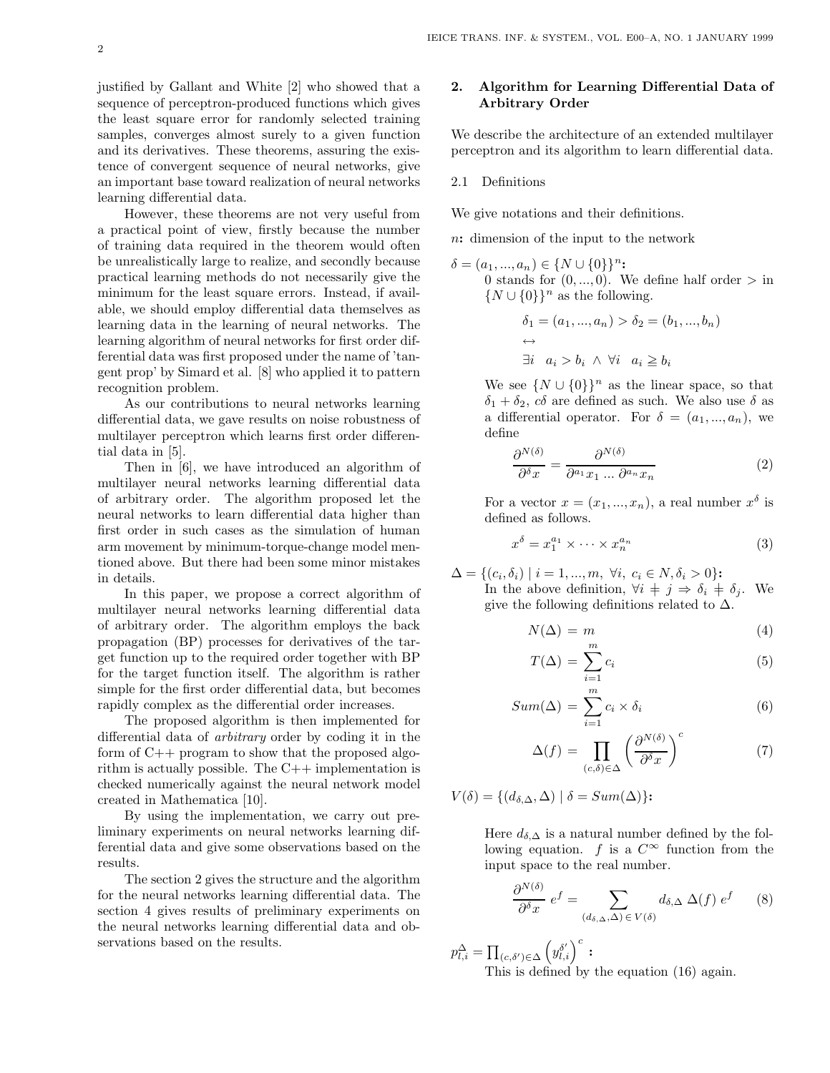justified by Gallant and White [2] who showed that a sequence of perceptron-produced functions which gives the least square error for randomly selected training samples, converges almost surely to a given function and its derivatives. These theorems, assuring the existence of convergent sequence of neural networks, give an important base toward realization of neural networks learning differential data.

However, these theorems are not very useful from a practical point of view, firstly because the number of training data required in the theorem would often be unrealistically large to realize, and secondly because practical learning methods do not necessarily give the minimum for the least square errors. Instead, if available, we should employ differential data themselves as learning data in the learning of neural networks. The learning algorithm of neural networks for first order differential data was first proposed under the name of 'tangent prop' by Simard et al. [8] who applied it to pattern recognition problem.

As our contributions to neural networks learning differential data, we gave results on noise robustness of multilayer perceptron which learns first order differential data in [5].

Then in [6], we have introduced an algorithm of multilayer neural networks learning differential data of arbitrary order. The algorithm proposed let the neural networks to learn differential data higher than first order in such cases as the simulation of human arm movement by minimum-torque-change model mentioned above. But there had been some minor mistakes in details.

In this paper, we propose a correct algorithm of multilayer neural networks learning differential data of arbitrary order. The algorithm employs the back propagation (BP) processes for derivatives of the target function up to the required order together with BP for the target function itself. The algorithm is rather simple for the first order differential data, but becomes rapidly complex as the differential order increases.

The proposed algorithm is then implemented for differential data of *arbitrary* order by coding it in the form of C++ program to show that the proposed algorithm is actually possible. The  $C++$  implementation is checked numerically against the neural network model created in Mathematica [10].

By using the implementation, we carry out preliminary experiments on neural networks learning differential data and give some observations based on the results.

The section 2 gives the structure and the algorithm for the neural networks learning differential data. The section 4 gives results of preliminary experiments on the neural networks learning differential data and observations based on the results.

#### **2. Algorithm for Learning Differential Data of Arbitrary Order**

We describe the architecture of an extended multilayer perceptron and its algorithm to learn differential data.

#### 2.1 Definitions

We give notations and their definitions.

n**:** dimension of the input to the network

 $\delta = (a_1, ..., a_n) \in \{N \cup \{0\}\}^n$ : 0 stands for  $(0, ..., 0)$ . We define half order  $>$  in  $\{N \cup \{0\}\}^n$  as the following.

$$
\delta_1 = (a_1, ..., a_n) > \delta_2 = (b_1, ..., b_n)
$$
  

$$
\leftrightarrow \exists i \quad a_i > b_i \land \forall i \quad a_i \geq b_i
$$

We see  $\{N \cup \{0\}\}^n$  as the linear space, so that  $\delta_1 + \delta_2$ ,  $c\delta$  are defined as such. We also use  $\delta$  as a differential operator. For  $\delta = (a_1, ..., a_n)$ , we define

$$
\frac{\partial^{N(\delta)}}{\partial^{\delta} x} = \frac{\partial^{N(\delta)}}{\partial^{a_1} x_1 \dots \partial^{a_n} x_n} \tag{2}
$$

For a vector  $x = (x_1, ..., x_n)$ , a real number  $x^{\delta}$  is defined as follows.

$$
x^{\delta} = x_1^{a_1} \times \dots \times x_n^{a_n} \tag{3}
$$

$$
\Delta = \{ (c_i, \delta_i) \mid i = 1, ..., m, \ \forall i, \ c_i \in N, \delta_i > 0 \}:
$$

In the above definition,  $\forall i \neq j \Rightarrow \delta_i \neq \delta_j$ . We give the following definitions related to  $\Delta$ .

$$
N(\Delta) = m \tag{4}
$$

$$
T(\Delta) = \sum_{i=1}^{m} c_i
$$
 (5)

$$
Sum(\Delta) = \sum_{i=1}^{m} c_i \times \delta_i
$$
\n(6)

$$
\Delta(f) = \prod_{(c,\delta)\in\Delta} \left(\frac{\partial^{N(\delta)}}{\partial^{\delta} x}\right)^c \tag{7}
$$

$$
V(\delta) = \{ (d_{\delta,\Delta}, \Delta) \mid \delta = Sum(\Delta) \}:
$$

Here  $d_{\delta,\Delta}$  is a natural number defined by the following equation. f is a  $C^{\infty}$  function from the input space to the real number.

$$
\frac{\partial^{N(\delta)}}{\partial^{\delta} x} e^f = \sum_{(d_{\delta,\Delta},\Delta) \in V(\delta)} d_{\delta,\Delta} \Delta(f) e^f \qquad (8)
$$

 $p_{l,i}^{\Delta} = \prod_{(c,\delta')\in\Delta} \left( y_{l,i}^{\delta'} \right)^c$ :

This is defined by the equation (16) again.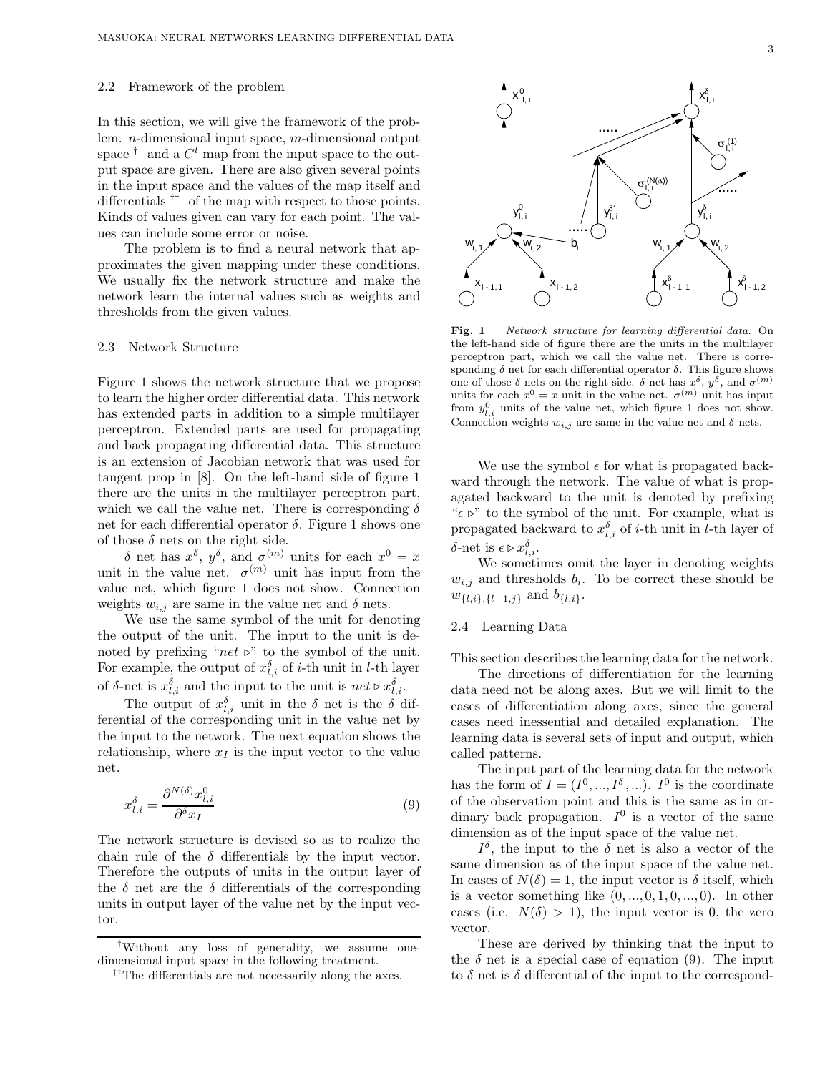#### 2.2 Framework of the problem

In this section, we will give the framework of the problem. n-dimensional input space, m-dimensional output space  $^{\dagger}$  and a  $C^{l}$  map from the input space to the output space are given. There are also given several points in the input space and the values of the map itself and differentials †† of the map with respect to those points. Kinds of values given can vary for each point. The values can include some error or noise.

The problem is to find a neural network that approximates the given mapping under these conditions. We usually fix the network structure and make the network learn the internal values such as weights and thresholds from the given values.

#### 2.3 Network Structure

Figure 1 shows the network structure that we propose to learn the higher order differential data. This network has extended parts in addition to a simple multilayer perceptron. Extended parts are used for propagating and back propagating differential data. This structure is an extension of Jacobian network that was used for tangent prop in [8]. On the left-hand side of figure 1 there are the units in the multilayer perceptron part, which we call the value net. There is corresponding  $\delta$ net for each differential operator  $\delta$ . Figure 1 shows one of those  $\delta$  nets on the right side.

δ net has  $x^{\delta}$ ,  $y^{\delta}$ , and  $σ^{(m)}$  units for each  $x^0 = x$ unit in the value net.  $\sigma^{(m)}$  unit has input from the value net, which figure 1 does not show. Connection weights  $w_{i,j}$  are same in the value net and  $\delta$  nets.

We use the same symbol of the unit for denoting the output of the unit. The input to the unit is denoted by prefixing " $net \triangleright$ " to the symbol of the unit. For example, the output of  $x_{l,i}^{\delta}$  of *i*-th unit in *l*-th layer of  $\delta$ -net is  $x_{l,i}^{\delta}$  and the input to the unit is  $net \triangleright x_{l,i}^{\delta}$ .

The output of  $x_{l,i}^{\delta}$  unit in the  $\delta$  net is the  $\delta$  differential of the corresponding unit in the value net by the input to the network. The next equation shows the relationship, where  $x_I$  is the input vector to the value net.

$$
x_{l,i}^{\delta} = \frac{\partial^{N(\delta)} x_{l,i}^0}{\partial^{\delta} x_l} \tag{9}
$$

The network structure is devised so as to realize the chain rule of the  $\delta$  differentials by the input vector. Therefore the outputs of units in the output layer of the  $\delta$  net are the  $\delta$  differentials of the corresponding units in output layer of the value net by the input vector.



**Fig. 1** Network structure for learning differential data: On the left-hand side of figure there are the units in the multilayer perceptron part, which we call the value net. There is corresponding  $\delta$  net for each differential operator  $\delta$ . This figure shows one of those  $\delta$  nets on the right side.  $\delta$  net has  $x^{\delta}$ ,  $y^{\delta}$ , and  $\sigma^{(m)}$ units for each  $x^0 = x$  unit in the value net.  $\sigma^{(m)}$  unit has input from  $y_{l,i}^0$  units of the value net, which figure 1 does not show. Connection weights  $w_{i,j}$  are same in the value net and  $\delta$  nets.

We use the symbol  $\epsilon$  for what is propagated backward through the network. The value of what is propagated backward to the unit is denoted by prefixing " $\epsilon \triangleright$ " to the symbol of the unit. For example, what is propagated backward to  $x_{l,i}^{\delta}$  of *i*-th unit in *l*-th layer of δ-net is  $\epsilon \triangleright x_{l,i}^{\delta}$ .

We sometimes omit the layer in denoting weights  $w_{i,j}$  and thresholds  $b_i$ . To be correct these should be  $w_{\{l,i\},\{l-1,j\}}$  and  $b_{\{l,i\}}$ .

#### 2.4 Learning Data

This section describes the learning data for the network.

The directions of differentiation for the learning data need not be along axes. But we will limit to the cases of differentiation along axes, since the general cases need inessential and detailed explanation. The learning data is several sets of input and output, which called patterns.

The input part of the learning data for the network has the form of  $I = (I^0, ..., I^{\delta}, ...)$ . I<sup>0</sup> is the coordinate of the observation point and this is the same as in ordinary back propagation.  $I^0$  is a vector of the same dimension as of the input space of the value net.

 $I^{\delta}$ , the input to the  $\delta$  net is also a vector of the same dimension as of the input space of the value net. In cases of  $N(\delta) = 1$ , the input vector is  $\delta$  itself, which is a vector something like  $(0, \ldots, 0, 1, 0, \ldots, 0)$ . In other cases (i.e.  $N(\delta) > 1$ ), the input vector is 0, the zero vector.

These are derived by thinking that the input to the  $\delta$  net is a special case of equation (9). The input to  $\delta$  net is  $\delta$  differential of the input to the correspond-

*<sup>†</sup>* Without any loss of generality, we assume onedimensional input space in the following treatment.

*<sup>††</sup>*The differentials are not necessarily along the axes.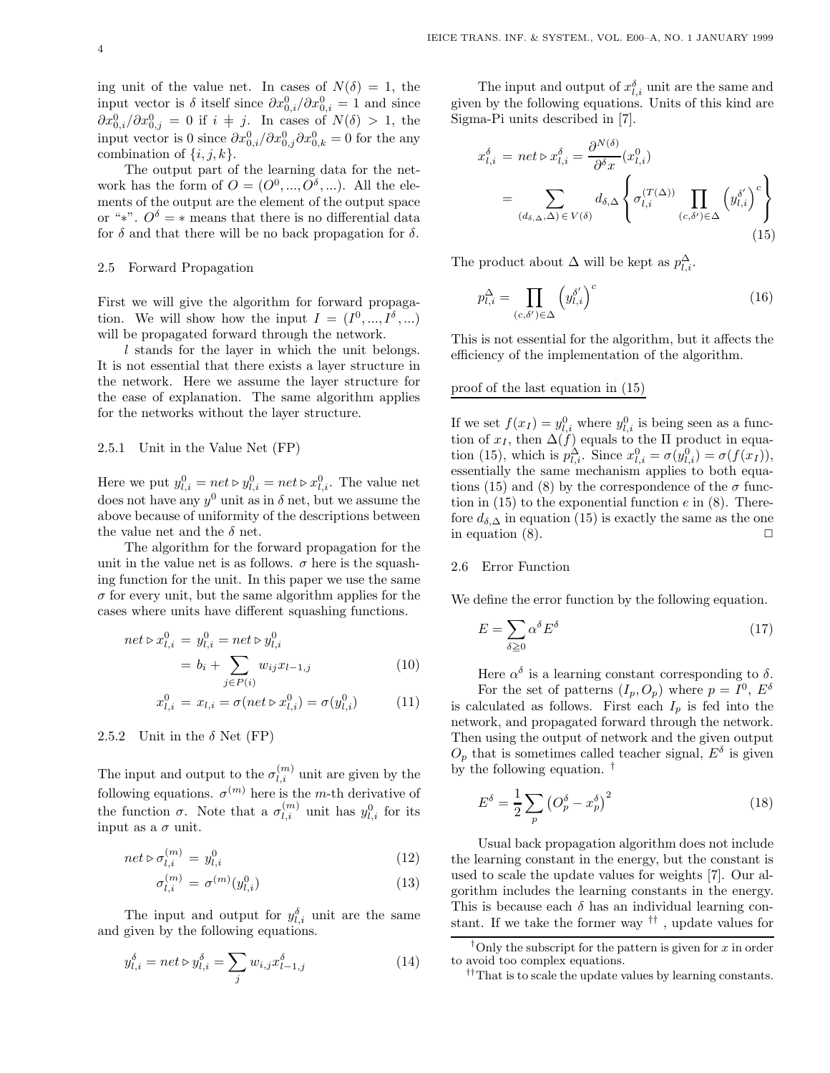ing unit of the value net. In cases of  $N(\delta) = 1$ , the input vector is  $\delta$  itself since  $\partial x_{0,i}^0 / \partial x_{0,i}^0 = 1$  and since  $\partial x_{0,i}^0/\partial x_{0,j}^0 = 0$  if  $i \neq j$ . In cases of  $N(\delta) > 1$ , the input vector is 0 since  $\partial x_{0,i}^0/\partial x_{0,j}^0 \partial x_{0,k}^0 = 0$  for the any combination of  $\{i, j, k\}.$ 

The output part of the learning data for the network has the form of  $O = (O^0, ..., O^{\delta}, ...)$ . All the elements of the output are the element of the output space or "\*".  $O^{\delta} = *$  means that there is no differential data for  $\delta$  and that there will be no back propagation for  $\delta$ .

#### 2.5 Forward Propagation

First we will give the algorithm for forward propagation. We will show how the input  $I = (I^0, ..., I^{\delta}, ...)$ will be propagated forward through the network.

l stands for the layer in which the unit belongs. It is not essential that there exists a layer structure in the network. Here we assume the layer structure for the ease of explanation. The same algorithm applies for the networks without the layer structure.

#### 2.5.1 Unit in the Value Net (FP)

Here we put  $y_{l,i}^0 = net \triangleright y_{l,i}^0 = net \triangleright x_{l,i}^0$ . The value net does not have any  $y^0$  unit as in  $\delta$  net, but we assume the above because of uniformity of the descriptions between the value net and the  $\delta$  net.

The algorithm for the forward propagation for the unit in the value net is as follows.  $\sigma$  here is the squashing function for the unit. In this paper we use the same  $\sigma$  for every unit, but the same algorithm applies for the cases where units have different squashing functions.

$$
net \triangleright x_{l,i}^{0} = y_{l,i}^{0} = net \triangleright y_{l,i}^{0}
$$

$$
= b_{i} + \sum_{j \in P(i)} w_{ij} x_{l-1,j} \tag{10}
$$

$$
x_{l,i}^0 = x_{l,i} = \sigma(net \triangleright x_{l,i}^0) = \sigma(y_{l,i}^0)
$$
 (11)

#### 2.5.2 Unit in the  $\delta$  Net (FP)

The input and output to the  $\sigma_{l,i}^{(m)}$  unit are given by the following equations.  $\sigma^{(m)}$  here is the m-th derivative of the function  $\sigma$ . Note that a  $\sigma_{l,i}^{(m)}$  unit has  $y_{l,i}^0$  for its input as a  $\sigma$  unit.

$$
net \triangleright \sigma_{l,i}^{(m)} = y_{l,i}^0 \tag{12}
$$

$$
\sigma_{l,i}^{(m)} = \sigma^{(m)}(y_{l,i}^0)
$$
\n(13)

The input and output for  $y_{l,i}^{\delta}$  unit are the same and given by the following equations.

$$
y_{l,i}^{\delta} = net \triangleright y_{l,i}^{\delta} = \sum_{j} w_{i,j} x_{l-1,j}^{\delta}
$$
 (14)

The input and output of  $x_{l,i}^{\delta}$  unit are the same and given by the following equations. Units of this kind are Sigma-Pi units described in [7].

$$
x_{l,i}^{\delta} = net \triangleright x_{l,i}^{\delta} = \frac{\partial^{N(\delta)}}{\partial^{\delta} x}(x_{l,i}^{0})
$$
  
= 
$$
\sum_{(d_{\delta,\Delta},\Delta) \in V(\delta)} d_{\delta,\Delta} \left\{ \sigma_{l,i}^{(T(\Delta))} \prod_{(c,\delta') \in \Delta} \left( y_{l,i}^{\delta'} \right)^{c} \right\}
$$
(15)

The product about  $\Delta$  will be kept as  $p_{l,i}^{\Delta}$ .

$$
p_{l,i}^{\Delta} = \prod_{(c,\delta') \in \Delta} \left( y_{l,i}^{\delta'} \right)^c \tag{16}
$$

This is not essential for the algorithm, but it affects the efficiency of the implementation of the algorithm.

#### proof of the last equation in (15)

If we set  $f(x_I) = y_{i,i}^0$  where  $y_{i,i}^0$  is being seen as a function of  $x_I$ , then  $\Delta(f)$  equals to the  $\Pi$  product in equation (15), which is  $p_{l,i}^{\Delta}$ . Since  $x_{l,i}^0 = \sigma(y_{l,i}^0) = \sigma(f(x_I)),$ essentially the same mechanism applies to both equations (15) and (8) by the correspondence of the  $\sigma$  function in  $(15)$  to the exponential function e in  $(8)$ . Therefore  $d_{\delta,\Delta}$  in equation (15) is exactly the same as the one in equation  $(8)$ .

#### 2.6 Error Function

We define the error function by the following equation.

$$
E = \sum_{\delta \ge 0} \alpha^{\delta} E^{\delta} \tag{17}
$$

Here  $\alpha^{\delta}$  is a learning constant corresponding to  $\delta$ . For the set of patterns  $(I_p, O_p)$  where  $p = I^0$ ,  $E^{\delta}$ is calculated as follows. First each  $I_p$  is fed into the network, and propagated forward through the network. Then using the output of network and the given output  $O_p$  that is sometimes called teacher signal,  $E^{\delta}$  is given by the following equation. †

$$
E^{\delta} = \frac{1}{2} \sum_{p} \left( O_p^{\delta} - x_p^{\delta} \right)^2 \tag{18}
$$

Usual back propagation algorithm does not include the learning constant in the energy, but the constant is used to scale the update values for weights [7]. Our algorithm includes the learning constants in the energy. This is because each  $\delta$  has an individual learning constant. If we take the former way †† , update values for

*<sup>†</sup>* Only the subscript for the pattern is given for x in order to avoid too complex equations.

*<sup>††</sup>*That is to scale the update values by learning constants.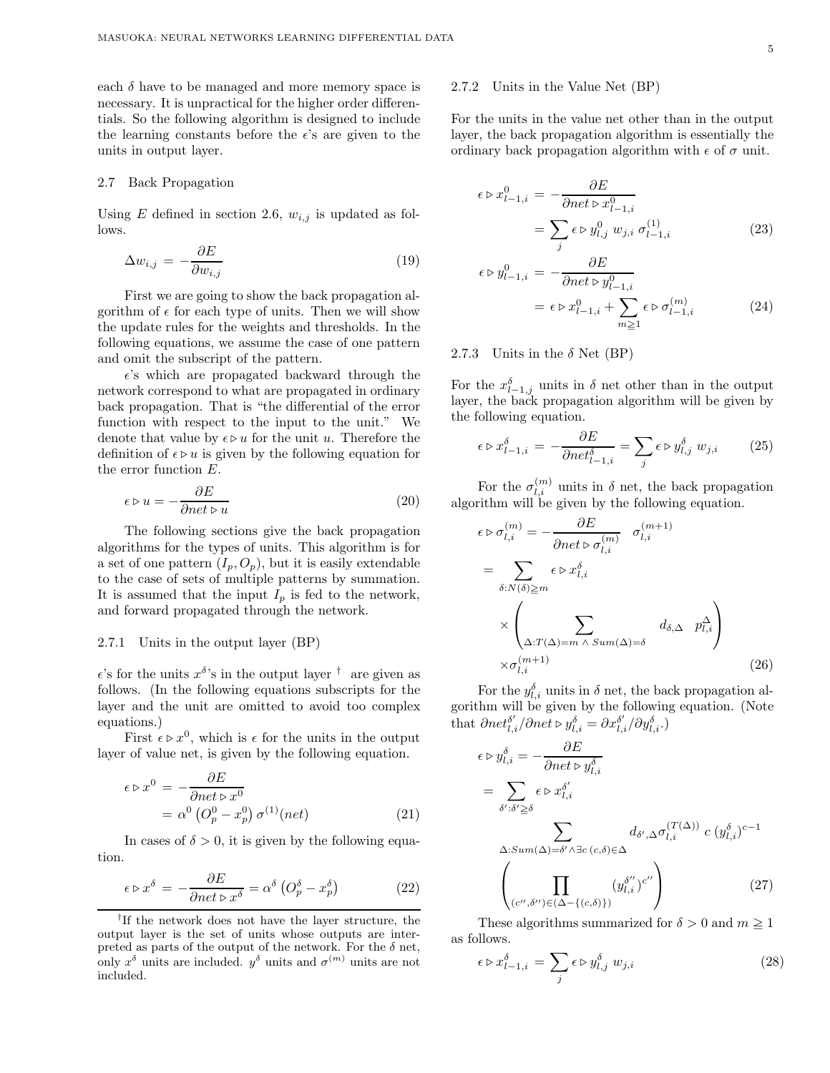each  $\delta$  have to be managed and more memory space is necessary. It is unpractical for the higher order differentials. So the following algorithm is designed to include the learning constants before the  $\epsilon$ 's are given to the units in output layer.

#### 2.7 Back Propagation

Using E defined in section 2.6,  $w_{i,j}$  is updated as follows.

$$
\Delta w_{i,j} = -\frac{\partial E}{\partial w_{i,j}}\tag{19}
$$

First we are going to show the back propagation algorithm of  $\epsilon$  for each type of units. Then we will show the update rules for the weights and thresholds. In the following equations, we assume the case of one pattern and omit the subscript of the pattern.

 $\epsilon$ 's which are propagated backward through the network correspond to what are propagated in ordinary back propagation. That is "the differential of the error function with respect to the input to the unit." We denote that value by  $\epsilon \triangleright u$  for the unit u. Therefore the definition of  $\epsilon \triangleright u$  is given by the following equation for the error function E.

$$
\epsilon \triangleright u = -\frac{\partial E}{\partial net \triangleright u} \tag{20}
$$

The following sections give the back propagation algorithms for the types of units. This algorithm is for a set of one pattern  $(I_p, O_p)$ , but it is easily extendable to the case of sets of multiple patterns by summation. It is assumed that the input  $I_p$  is fed to the network, and forward propagated through the network.

#### 2.7.1 Units in the output layer (BP)

 $\epsilon$ 's for the units  $x^{\delta}$ 's in the output layer  $^{\dagger}$  are given as follows. (In the following equations subscripts for the layer and the unit are omitted to avoid too complex equations.)

First  $\epsilon \triangleright x^0$ , which is  $\epsilon$  for the units in the output layer of value net, is given by the following equation.

$$
\epsilon \triangleright x^0 = -\frac{\partial E}{\partial net \triangleright x^0}
$$
  
=  $\alpha^0 \left( O_p^0 - x_p^0 \right) \sigma^{(1)}(net)$  (21)

In cases of  $\delta > 0$ , it is given by the following equation.

$$
\epsilon \triangleright x^{\delta} = -\frac{\partial E}{\partial net \triangleright x^{\delta}} = \alpha^{\delta} \left( O_p^{\delta} - x_p^{\delta} \right) \tag{22}
$$

*†* If the network does not have the layer structure, the output layer is the set of units whose outputs are interpreted as parts of the output of the network. For the  $\delta$  net, only  $x^{\delta}$  units are included.  $y^{\delta}$  units and  $\sigma^{(m)}$  units are not included.

#### 2.7.2 Units in the Value Net (BP)

For the units in the value net other than in the output layer, the back propagation algorithm is essentially the ordinary back propagation algorithm with  $\epsilon$  of  $\sigma$  unit.

$$
\epsilon \triangleright x_{l-1,i}^0 = -\frac{\partial E}{\partial net \triangleright x_{l-1,i}^0}
$$

$$
= \sum_j \epsilon \triangleright y_{l,j}^0 \ w_{j,i} \ \sigma_{l-1,i}^{(1)} \tag{23}
$$

$$
\triangleright y_{l-1,i}^{0} = -\frac{\partial E}{\partial net \triangleright y_{l-1,i}^{0}}
$$
  
=  $\epsilon \triangleright x_{l-1,i}^{0} + \sum_{m \geq 1} \epsilon \triangleright \sigma_{l-1,i}^{(m)}$  (24)

2.7.3 Units in the  $\delta$  Net (BP)

 $\epsilon$ 

For the  $x_{l-1,j}^{\delta}$  units in  $\delta$  net other than in the output layer, the back propagation algorithm will be given by the following equation.

$$
\epsilon \triangleright x_{l-1,i}^{\delta} = -\frac{\partial E}{\partial net_{l-1,i}^{\delta}} = \sum_{j} \epsilon \triangleright y_{l,j}^{\delta} w_{j,i} \qquad (25)
$$

For the  $\sigma_{l,i}^{(m)}$  units in  $\delta$  net, the back propagation algorithm will be given by the following equation.

$$
\epsilon \triangleright \sigma_{l,i}^{(m)} = -\frac{\partial E}{\partial net \triangleright \sigma_{l,i}^{(m)}} \quad \sigma_{l,i}^{(m+1)}
$$

$$
= \sum_{\delta: N(\delta) \ge m} \epsilon \triangleright x_{l,i}^{\delta}
$$

$$
\times \left( \sum_{\Delta: T(\Delta) = m \land \text{Sum}(\Delta) = \delta} d_{\delta, \Delta} \quad p_{l,i}^{\Delta} \right)
$$

$$
\times \sigma_{l,i}^{(m+1)} \tag{26}
$$

For the  $y_{l,i}^{\delta}$  units in  $\delta$  net, the back propagation algorithm will be given by the following equation. (Note that  $\partial net_{l,i}^{\delta'} / \partial net \triangleright y_{l,i}^{\delta} = \partial x_{l,i}^{\delta'} / \partial y_{l,i}^{\delta}$ .

$$
\epsilon \triangleright y_{l,i}^{\delta} = -\frac{\partial E}{\partial net \triangleright y_{l,i}^{\delta}}
$$
  
= 
$$
\sum_{\delta': \delta' \ge \delta} \epsilon \triangleright x_{l,i}^{\delta'}
$$
  

$$
\sum_{\Delta: Sum(\Delta) = \delta' \land \exists c \ (c,\delta) \in \Delta} d_{\delta',\Delta} \sigma_{l,i}^{(T(\Delta))} c (y_{l,i}^{\delta})^{c-1}
$$
  

$$
\prod_{\langle j_{l,i}^{\delta'} \rangle} (y_{l,i}^{\delta'})^{c''}
$$
 (27)

$$
\left(\prod_{(c'',\delta'')\in(\Delta-\{(c,\delta)\})} (y_{l,i}^{\delta''})^{c''}\right) \tag{27}
$$

These algorithms summarized for  $\delta > 0$  and  $m \ge 1$ as follows.

$$
\epsilon \triangleright x_{l-1,i}^{\delta} = \sum_{j} \epsilon \triangleright y_{l,j}^{\delta} w_{j,i}
$$
 (28)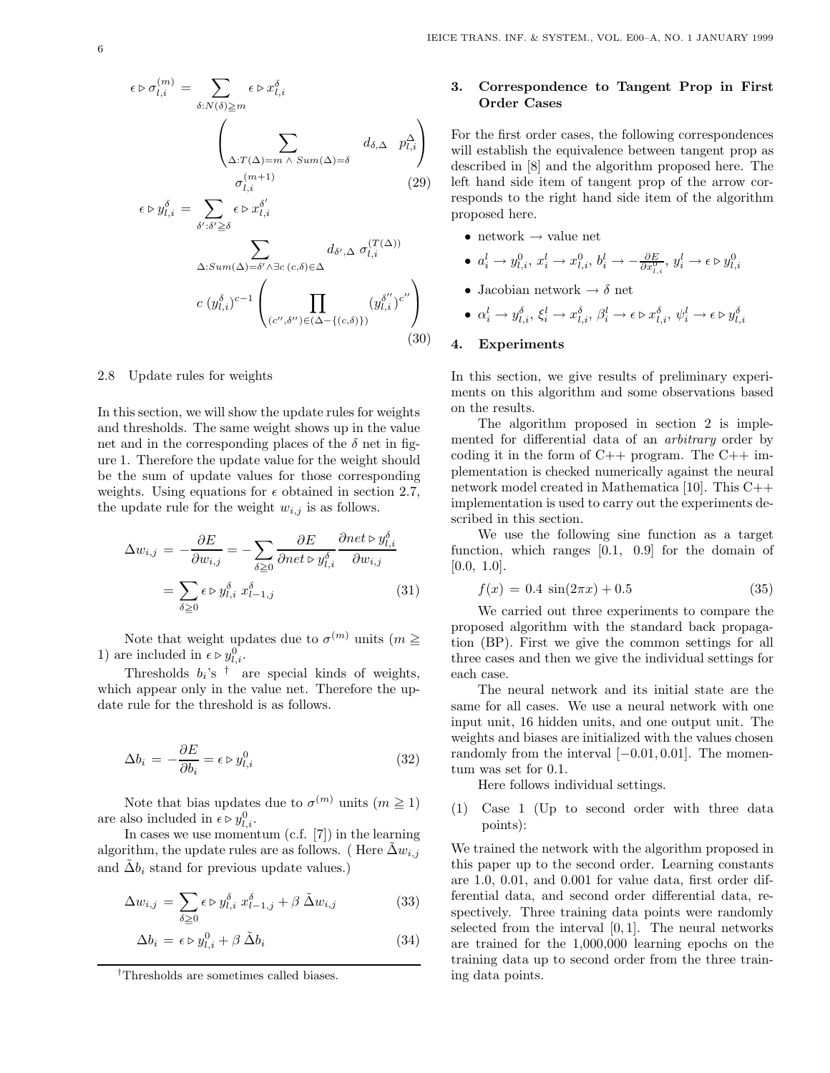$$
\epsilon \triangleright \sigma_{l,i}^{(m)} = \sum_{\delta: N(\delta) \ge m} \epsilon \triangleright x_{l,i}^{\delta}
$$

$$
\left(\sum_{\Delta: T(\Delta) = m \land \text{Sum}(\Delta) = \delta} d_{\delta, \Delta} \ p_{l,i}^{\Delta}\right)
$$

$$
\sigma_{l,i}^{(m+1)} \qquad (29)
$$

$$
\epsilon \triangleright y_{l,i}^{\delta} = \sum_{\delta': \delta' \ge \delta} \epsilon \triangleright x_{l,i}^{\delta'} \qquad (29)
$$

$$
\sum_{\Delta: \text{Sum}(\Delta) = \delta' \land \exists c} d_{\delta', \Delta} \ \sigma_{l,i}^{(T(\Delta))}
$$

$$
c \ (y_{l,i}^{\delta})^{c-1} \left( \prod_{(c'',\delta'') \in (\Delta - \{(c,\delta)\})} (y_{l,i}^{\delta''})^{c''} \right)
$$
\n(30)

2.8 Update rules for weights

In this section, we will show the update rules for weights and thresholds. The same weight shows up in the value net and in the corresponding places of the  $\delta$  net in figure 1. Therefore the update value for the weight should be the sum of update values for those corresponding weights. Using equations for  $\epsilon$  obtained in section 2.7, the update rule for the weight  $w_{i,j}$  is as follows.

$$
\Delta w_{i,j} = -\frac{\partial E}{\partial w_{i,j}} = -\sum_{\delta \ge 0} \frac{\partial E}{\partial net \triangleright y_{l,i}^{\delta}} \frac{\partial net \triangleright y_{l,i}^{\delta}}{\partial w_{i,j}}
$$

$$
= \sum_{\delta \ge 0} \epsilon \triangleright y_{l,i}^{\delta} x_{l-1,j}^{\delta}
$$
(31)

Note that weight updates due to  $\sigma^{(m)}$  units  $(m \geq 1)$ 1) are included in  $\epsilon \triangleright y_{l,i}^0$ .

Thresholds  $b_i$ 's  $\dagger$  are special kinds of weights, which appear only in the value net. Therefore the update rule for the threshold is as follows.

$$
\Delta b_i = -\frac{\partial E}{\partial b_i} = \epsilon \triangleright y_{l,i}^0 \tag{32}
$$

Note that bias updates due to  $\sigma^{(m)}$  units  $(m \geq 1)$ are also included in  $\epsilon \triangleright y_{l,i}^0$ .

In cases we use momentum (c.f. [7]) in the learning algorithm, the update rules are as follows. (Here  $\Delta w_{i,j}$ and  $\tilde{\Delta}b_i$  stand for previous update values.)

$$
\Delta w_{i,j} = \sum_{\delta \ge 0} \epsilon \triangleright y_{l,i}^{\delta} \ x_{l-1,j}^{\delta} + \beta \ \tilde{\Delta} w_{i,j} \tag{33}
$$

$$
\Delta b_i = \epsilon \triangleright y_{l,i}^0 + \beta \, \tilde{\Delta} b_i \tag{34}
$$

#### **3. Correspondence to Tangent Prop in First Order Cases**

For the first order cases, the following correspondences will establish the equivalence between tangent prop as described in [8] and the algorithm proposed here. The left hand side item of tangent prop of the arrow corresponds to the right hand side item of the algorithm proposed here.

- network  $\rightarrow$  value net
- **•**  $a_i^l \rightarrow y_{l,i}^0$ ,  $x_i^l \rightarrow x_{l,i}^0$ ,  $b_i^l \rightarrow -\frac{\partial E}{\partial x_{l,i}^0}$ ,  $y_i^l \rightarrow \epsilon \triangleright y_{l,i}^0$
- $\bullet\,$ Jacobian network $\rightarrow\delta$ net
- $\alpha_i^l \rightarrow y_{l,i}^{\delta}, \xi_i^l \rightarrow x_{l,i}^{\delta}, \beta_i^l \rightarrow \epsilon \triangleright x_{l,i}^{\delta}, \psi_i^l \rightarrow \epsilon \triangleright y_{l,i}^{\delta}$

### **4. Experiments**

In this section, we give results of preliminary experiments on this algorithm and some observations based on the results.

The algorithm proposed in section 2 is implemented for differential data of an *arbitrary* order by coding it in the form of  $C++$  program. The  $C++$  implementation is checked numerically against the neural network model created in Mathematica [10]. This C++ implementation is used to carry out the experiments described in this section.

We use the following sine function as a target function, which ranges [0.1, 0.9] for the domain of  $[0.0, 1.0].$ 

$$
f(x) = 0.4 \sin(2\pi x) + 0.5 \tag{35}
$$

We carried out three experiments to compare the proposed algorithm with the standard back propagation (BP). First we give the common settings for all three cases and then we give the individual settings for each case.

The neural network and its initial state are the same for all cases. We use a neural network with one input unit, 16 hidden units, and one output unit. The weights and biases are initialized with the values chosen randomly from the interval  $[-0.01, 0.01]$ . The momentum was set for 0.1.

Here follows individual settings.

(1) Case 1 (Up to second order with three data points):

We trained the network with the algorithm proposed in this paper up to the second order. Learning constants are 1.0, 0.01, and 0.001 for value data, first order differential data, and second order differential data, respectively. Three training data points were randomly selected from the interval  $[0, 1]$ . The neural networks are trained for the 1,000,000 learning epochs on the training data up to second order from the three training data points.

*<sup>†</sup>*Thresholds are sometimes called biases.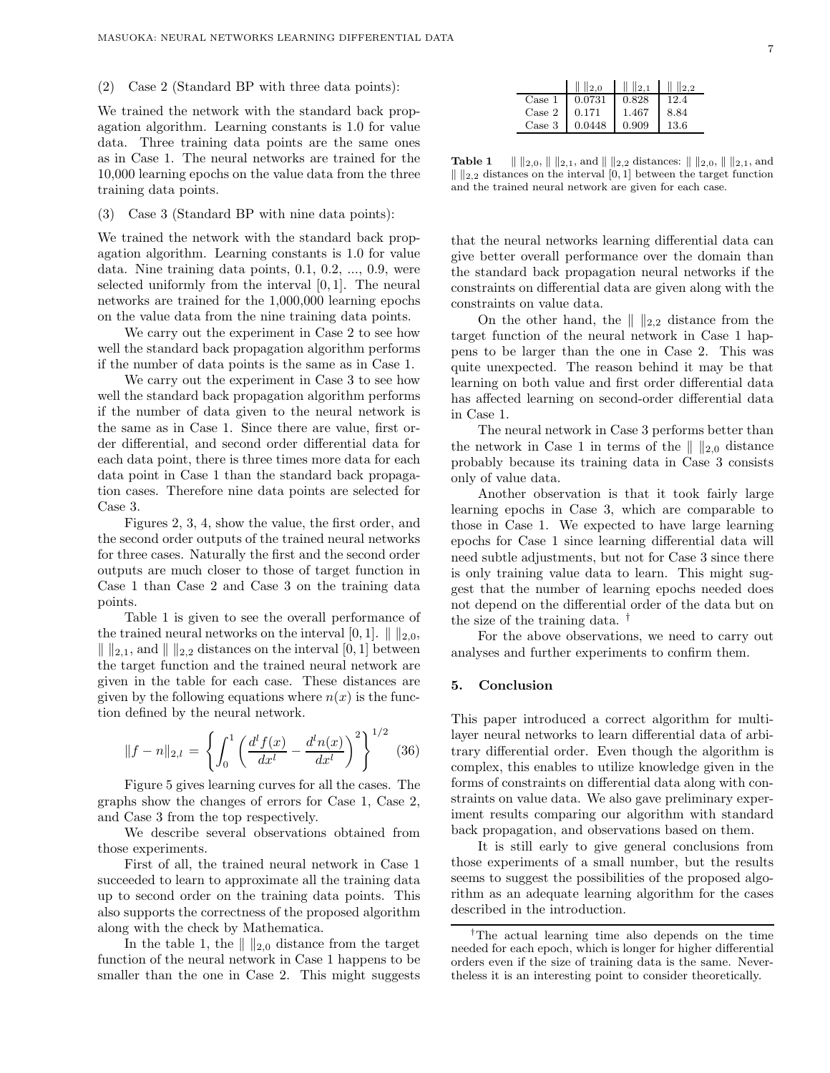#### (2) Case 2 (Standard BP with three data points):

We trained the network with the standard back propagation algorithm. Learning constants is 1.0 for value data. Three training data points are the same ones as in Case 1. The neural networks are trained for the 10,000 learning epochs on the value data from the three training data points.

#### (3) Case 3 (Standard BP with nine data points):

We trained the network with the standard back propagation algorithm. Learning constants is 1.0 for value data. Nine training data points, 0.1, 0.2, ..., 0.9, were selected uniformly from the interval [0, 1]. The neural networks are trained for the 1,000,000 learning epochs on the value data from the nine training data points.

We carry out the experiment in Case 2 to see how well the standard back propagation algorithm performs if the number of data points is the same as in Case 1.

We carry out the experiment in Case 3 to see how well the standard back propagation algorithm performs if the number of data given to the neural network is the same as in Case 1. Since there are value, first order differential, and second order differential data for each data point, there is three times more data for each data point in Case 1 than the standard back propagation cases. Therefore nine data points are selected for Case 3.

Figures 2, 3, 4, show the value, the first order, and the second order outputs of the trained neural networks for three cases. Naturally the first and the second order outputs are much closer to those of target function in Case 1 than Case 2 and Case 3 on the training data points.

Table 1 is given to see the overall performance of the trained neural networks on the interval [0, 1].  $\| \cdot \|_{2,0}$ ,  $\| \cdot \|_{2,1}$ , and  $\| \cdot \|_{2,2}$  distances on the interval [0, 1] between the target function and the trained neural network are given in the table for each case. These distances are given by the following equations where  $n(x)$  is the function defined by the neural network.

$$
||f - n||_{2,l} = \left\{ \int_0^1 \left( \frac{d^l f(x)}{dx^l} - \frac{d^l n(x)}{dx^l} \right)^2 \right\}^{1/2} (36)
$$

Figure 5 gives learning curves for all the cases. The graphs show the changes of errors for Case 1, Case 2, and Case 3 from the top respectively.

We describe several observations obtained from those experiments.

First of all, the trained neural network in Case 1 succeeded to learn to approximate all the training data up to second order on the training data points. This also supports the correctness of the proposed algorithm along with the check by Mathematica.

In the table 1, the  $\| \cdot \|_{2,0}$  distance from the target function of the neural network in Case 1 happens to be smaller than the one in Case 2. This might suggests

|                 | $\parallel$ 2.0 | $\ \ $ $\ _{2,1}$ | $\  \ _{2,2}$ |
|-----------------|-----------------|-------------------|---------------|
| $\text{Case} 1$ | 0.0731          | 0.828             | 12.4          |
| $\text{Case} 2$ | 10.171          | - 1.467           | 8.84          |
| Case 3          | 0.0448          | 0.909             | -13.6         |

**Table 1**  $\| \cdot \|_{2,0}, \| \cdot \|_{2,1}$ , and  $\| \cdot \|_{2,2}$  distances:  $\| \cdot \|_{2,0}, \| \cdot \|_{2,1}$ , and  $\|$   $\|$ <sub>2,2</sub> distances on the interval</sub> [0, 1] between the target function and the trained neural network are given for each case.

that the neural networks learning differential data can give better overall performance over the domain than the standard back propagation neural networks if the constraints on differential data are given along with the constraints on value data.

On the other hand, the  $\| \cdot \|_{2,2}$  distance from the target function of the neural network in Case 1 happens to be larger than the one in Case 2. This was quite unexpected. The reason behind it may be that learning on both value and first order differential data has affected learning on second-order differential data in Case 1.

The neural network in Case 3 performs better than the network in Case 1 in terms of the  $\| \cdot \|_{2,0}$  distance probably because its training data in Case 3 consists only of value data.

Another observation is that it took fairly large learning epochs in Case 3, which are comparable to those in Case 1. We expected to have large learning epochs for Case 1 since learning differential data will need subtle adjustments, but not for Case 3 since there is only training value data to learn. This might suggest that the number of learning epochs needed does not depend on the differential order of the data but on the size of the training data. †

For the above observations, we need to carry out analyses and further experiments to confirm them.

#### **5. Conclusion**

This paper introduced a correct algorithm for multilayer neural networks to learn differential data of arbitrary differential order. Even though the algorithm is complex, this enables to utilize knowledge given in the forms of constraints on differential data along with constraints on value data. We also gave preliminary experiment results comparing our algorithm with standard back propagation, and observations based on them.

It is still early to give general conclusions from those experiments of a small number, but the results seems to suggest the possibilities of the proposed algorithm as an adequate learning algorithm for the cases described in the introduction.

*<sup>†</sup>*The actual learning time also depends on the time needed for each epoch, which is longer for higher differential orders even if the size of training data is the same. Nevertheless it is an interesting point to consider theoretically.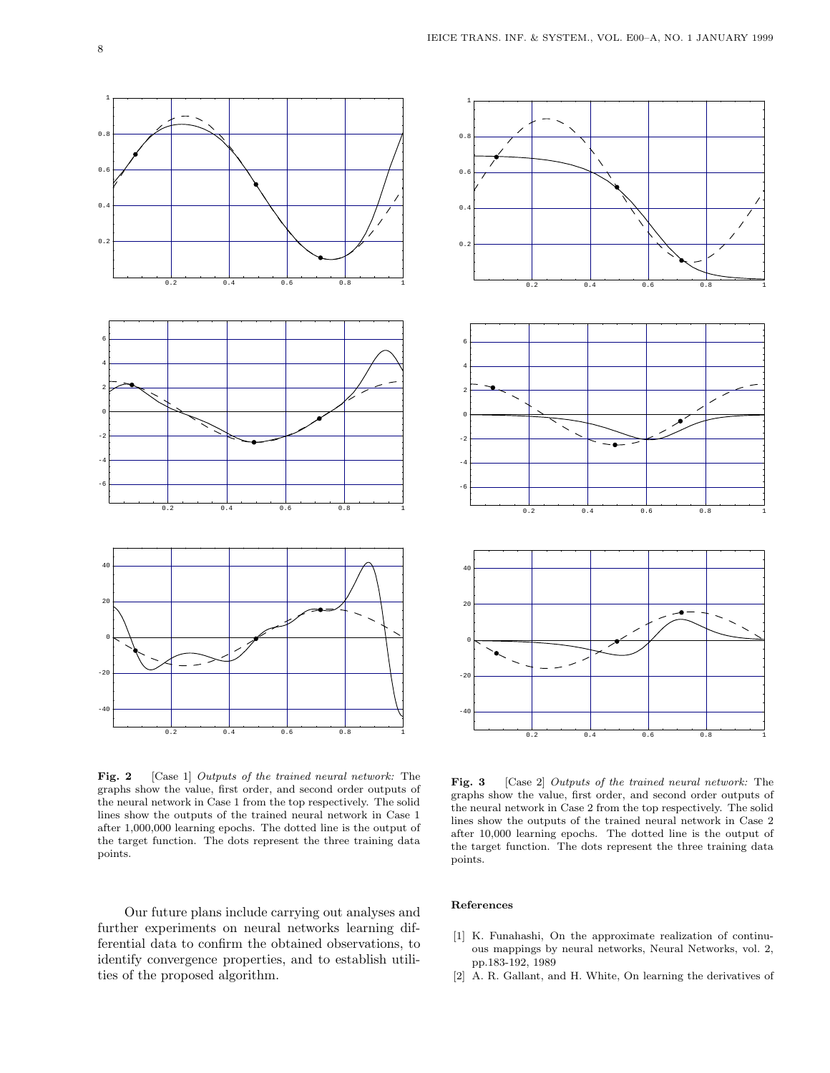

**Fig. 2** [Case 1] Outputs of the trained neural network: The graphs show the value, first order, and second order outputs of the neural network in Case 1 from the top respectively. The solid lines show the outputs of the trained neural network in Case 1 after 1,000,000 learning epochs. The dotted line is the output of the target function. The dots represent the three training data points.

Our future plans include carrying out analyses and further experiments on neural networks learning differential data to confirm the obtained observations, to identify convergence properties, and to establish utilities of the proposed algorithm.



Fig. 3 [Case 2] *Outputs of the trained neural network*: The graphs show the value, first order, and second order outputs of the neural network in Case 2 from the top respectively. The solid lines show the outputs of the trained neural network in Case 2 after 10,000 learning epochs. The dotted line is the output of the target function. The dots represent the three training data points.

- [1] K. Funahashi, On the approximate realization of continuous mappings by neural networks, Neural Networks, vol. 2, pp.183-192, 1989
- [2] A. R. Gallant, and H. White, On learning the derivatives of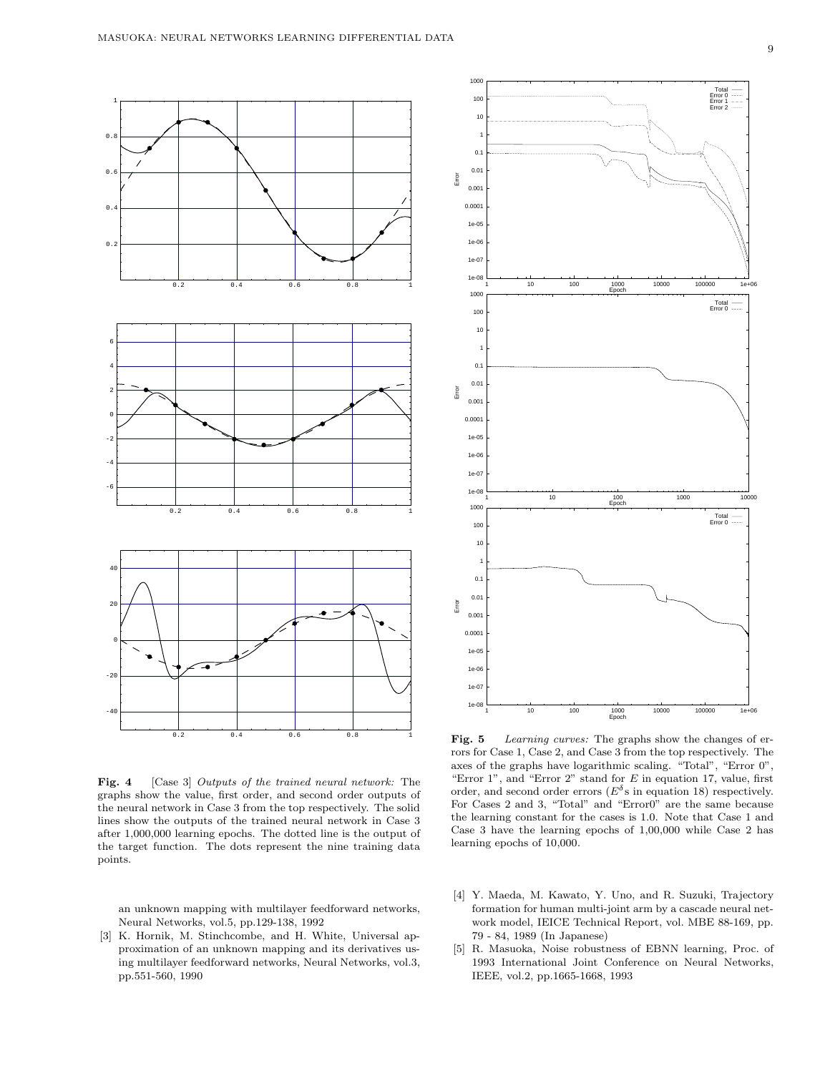

Fig. 4 [Case 3] *Outputs of the trained neural network*: The graphs show the value, first order, and second order outputs of the neural network in Case 3 from the top respectively. The solid lines show the outputs of the trained neural network in Case 3 after 1,000,000 learning epochs. The dotted line is the output of the target function. The dots represent the nine training data points.

an unknown mapping with multilayer feedforward networks, Neural Networks, vol.5, pp.129-138, 1992

[3] K. Hornik, M. Stinchcombe, and H. White, Universal approximation of an unknown mapping and its derivatives using multilayer feedforward networks, Neural Networks, vol.3, pp.551-560, 1990



Fig. 5 Learning curves: The graphs show the changes of errors for Case 1, Case 2, and Case 3 from the top respectively. The axes of the graphs have logarithmic scaling. "Total", "Error 0", "Error  $1$ ", and "Error  $2$ " stand for  $E$  in equation 17, value, first order, and second order errors ( $E^{\delta}$ s in equation 18) respectively. For Cases 2 and 3, "Total" and "Error0" are the same because the learning constant for the cases is 1.0. Note that Case 1 and Case 3 have the learning epochs of 1,00,000 while Case 2 has learning epochs of 10,000.

- [4] Y. Maeda, M. Kawato, Y. Uno, and R. Suzuki, Trajectory formation for human multi-joint arm by a cascade neural network model, IEICE Technical Report, vol. MBE 88-169, pp. 79 - 84, 1989 (In Japanese)
- [5] R. Masuoka, Noise robustness of EBNN learning, Proc. of 1993 International Joint Conference on Neural Networks, IEEE, vol.2, pp.1665-1668, 1993